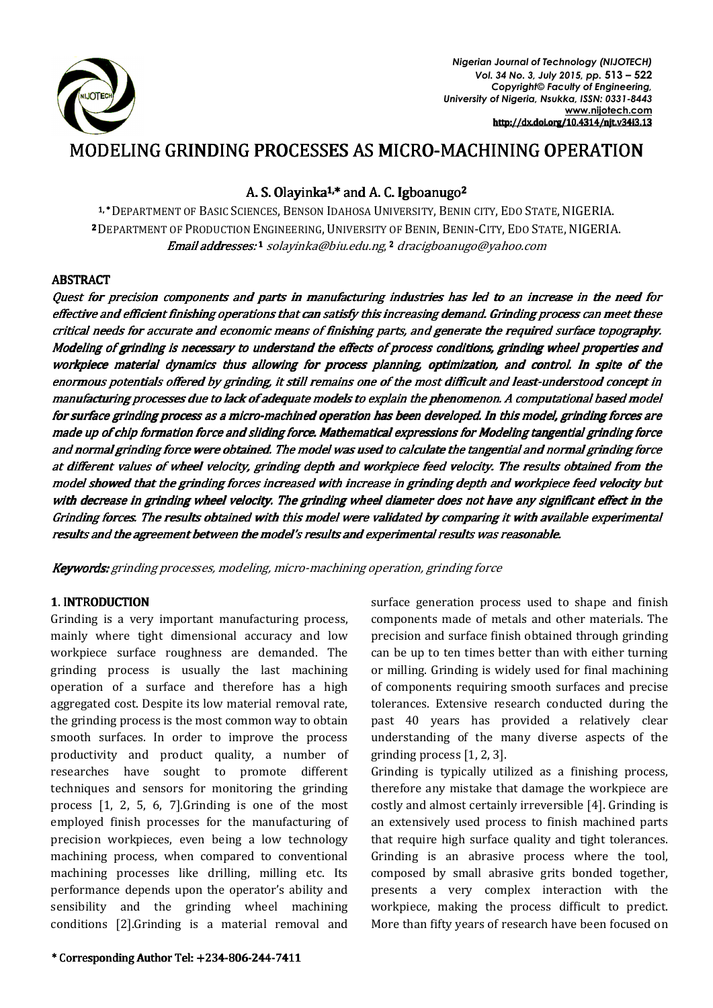

*Nigerian Journal of Technology (NIJOTECH) Vol. 34 No. 3, July 2015, pp.* **513 – 522** *Copyright© Faculty of Engineering, University of Nigeria, Nsukka, ISSN: 0331-8443*  **www.nijotech.com** http://dx.doi.org/10.4314/njt.v34i3.13

# MODELING GRINDING PROCESSES AS MICRO-MACHINING OPERATION

# A. S. Olayinka<sup>1,\*</sup> and A. C. Igboanugo<sup>2</sup>

1,\* DEPARTMENT OF BASIC SCIENCES, BENSON IDAHOSA UNIVERSITY, BENIN CITY, EDO STATE, NIGERIA. <sup>2</sup> DEPARTMENT OF PRODUCTION ENGINEERING, UNIVERSITY OF BENIN, BENIN-CITY, EDO STATE, NIGERIA. **Email addresses: 1** solayinka@biu.edu.ng, **2** dracigboanugo@yahoo.com

# **ABSTRACT**

Quest for precision components and parts in manufacturing industries has led to an increase in the need for effective and efficient finishing operations that can satisfy this increasing demand. Grinding process can meet these critical needs for accurate and economic means of finishing parts, and generate the required surface topography. Modeling of grinding is necessary to understand the effects of process conditions, grinding wheel properties and workpiece material dynamics thus allowing for process planning, optimization, and control. In spite of the enormous potentials offered by grinding, it still remains one of the most difficult and least-understood concept in manufacturing processes due to lack of adequate models to explain the phenomenon. A computational based model for surface grinding process as a micro-machined operation has been developed. In this model, grinding forces are made up of chip formation force and sliding force. Mathematical expressions for Modeling tangential grinding force and normal grinding force were obtained. The model was used to calculate the tangential and normal grinding force at different values of wheel velocity, grinding depth and workpiece feed velocity. The results obtained from the model showed that the grinding forces increased with increase in grinding depth and workpiece feed velocity but with decrease in grinding wheel velocity. The grinding wheel diameter does not have any significant effect in the Grinding forces. The results obtained with this model were validated by comparing it with available experimental results and the agreement between the model's results and experimental results was reasonable.

Keywords: grinding processes, modeling, micro-machining operation, grinding force

# 1. INTRODUCTION

Grinding is a very important manufacturing process, mainly where tight dimensional accuracy and low workpiece surface roughness are demanded. The grinding process is usually the last machining operation of a surface and therefore has a high aggregated cost. Despite its low material removal rate, the grinding process is the most common way to obtain smooth surfaces. In order to improve the process productivity and product quality, a number of researches have sought to promote different techniques and sensors for monitoring the grinding process [1, 2, 5, 6, 7].Grinding is one of the most employed finish processes for the manufacturing of precision workpieces, even being a low technology machining process, when compared to conventional machining processes like drilling, milling etc. Its performance depends upon the operator's ability and sensibility and the grinding wheel machining conditions [2].Grinding is a material removal and

components made of metals and other materials. The precision and surface finish obtained through grinding can be up to ten times better than with either turning or milling. Grinding is widely used for final machining of components requiring smooth surfaces and precise tolerances. Extensive research conducted during the past 40 years has provided a relatively clear understanding of the many diverse aspects of the grinding process [1, 2, 3]. Grinding is typically utilized as a finishing process,

surface generation process used to shape and finish

therefore any mistake that damage the workpiece are costly and almost certainly irreversible [4]. Grinding is an extensively used process to finish machined parts that require high surface quality and tight tolerances. Grinding is an abrasive process where the tool, composed by small abrasive grits bonded together, presents a very complex interaction with the workpiece, making the process difficult to predict. More than fifty years of research have been focused on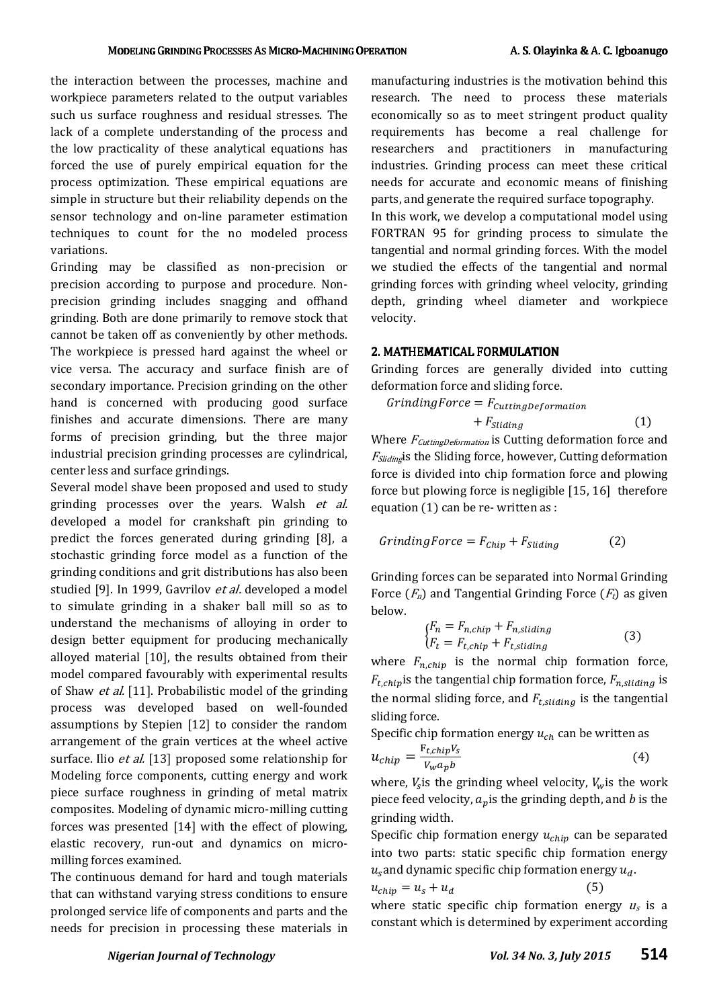the interaction between the processes, machine and workpiece parameters related to the output variables such us surface roughness and residual stresses. The lack of a complete understanding of the process and the low practicality of these analytical equations has forced the use of purely empirical equation for the process optimization. These empirical equations are simple in structure but their reliability depends on the sensor technology and on-line parameter estimation techniques to count for the no modeled process variations.

Grinding may be classified as non-precision or precision according to purpose and procedure. Nonprecision grinding includes snagging and offhand grinding. Both are done primarily to remove stock that cannot be taken off as conveniently by other methods. The workpiece is pressed hard against the wheel or vice versa. The accuracy and surface finish are of secondary importance. Precision grinding on the other hand is concerned with producing good surface finishes and accurate dimensions. There are many forms of precision grinding, but the three major industrial precision grinding processes are cylindrical, center less and surface grindings.

Several model shave been proposed and used to study grinding processes over the years. Walsh et al. developed a model for crankshaft pin grinding to predict the forces generated during grinding [8], a stochastic grinding force model as a function of the grinding conditions and grit distributions has also been studied [9]. In 1999, Gavrilov et al. developed a model to simulate grinding in a shaker ball mill so as to understand the mechanisms of alloying in order to design better equipment for producing mechanically alloyed material [10], the results obtained from their model compared favourably with experimental results of Shaw *et al.* [11]. Probabilistic model of the grinding process was developed based on well-founded assumptions by Stepien [12] to consider the random arrangement of the grain vertices at the wheel active surface. Ilio *et al.* [13] proposed some relationship for Modeling force components, cutting energy and work piece surface roughness in grinding of metal matrix composites. Modeling of dynamic micro-milling cutting forces was presented [14] with the effect of plowing, elastic recovery, run-out and dynamics on micromilling forces examined.

The continuous demand for hard and tough materials that can withstand varying stress conditions to ensure prolonged service life of components and parts and the needs for precision in processing these materials in manufacturing industries is the motivation behind this research. The need to process these materials economically so as to meet stringent product quality requirements has become a real challenge for researchers and practitioners in manufacturing industries. Grinding process can meet these critical needs for accurate and economic means of finishing parts, and generate the required surface topography. In this work, we develop a computational model using FORTRAN 95 for grinding process to simulate the tangential and normal grinding forces. With the model we studied the effects of the tangential and normal

grinding forces with grinding wheel velocity, grinding depth, grinding wheel diameter and workpiece velocity.

#### 2. MATHEMATICAL FORMULATION

Grinding forces are generally divided into cutting deformation force and sliding force.

$$
GrindingForce = F_{cuttingDeformation}
$$
  
+ F<sub>Sliding</sub> (1)

Where  $F_{\text{CuttingDeformation}}$  is Cutting deformation force and <sup>F</sup>Slidingis the Sliding force, however, Cutting deformation force is divided into chip formation force and plowing force but plowing force is negligible [15, 16] therefore equation (1) can be re- written as :

$$
GrindingForce = F_{Chip} + F_{Sliding}
$$
 (2)

Grinding forces can be separated into Normal Grinding Force  $(F_n)$  and Tangential Grinding Force  $(F_t)$  as given below.

$$
\begin{aligned} \n\{F_n &= F_{n, chip} + F_{n,sliding} \\ \n\{F_t &= F_{t,chip} + F_{t,sliding} \n\end{aligned} \tag{3}
$$

where  $F_{n,chi}$  is the normal chip formation force,  $F_{t, chip}$  is the tangential chip formation force,  $F_{n,sliding}$  is the normal sliding force, and  $F_{t,sliding}$  is the tangential sliding force.

Specific chip formation energy  $u_{ch}$  can be written as  $u_{chip} = \frac{F_{t,chip}V_s}{V_w a_n b}$ (4)

 $V_W a_p b$ where,  $V_s$  is the grinding wheel velocity,  $V_w$  is the work piece feed velocity,  $a_n$  is the grinding depth, and b is the grinding width.

Specific chip formation energy  $u_{chip}$  can be separated into two parts: static specific chip formation energy  $u_s$ and dynamic specific chip formation energy  $u_d$ .

$$
u_{chip} = u_s + u_d \tag{5}
$$

where static specific chip formation energy  $u_s$  is a constant which is determined by experiment according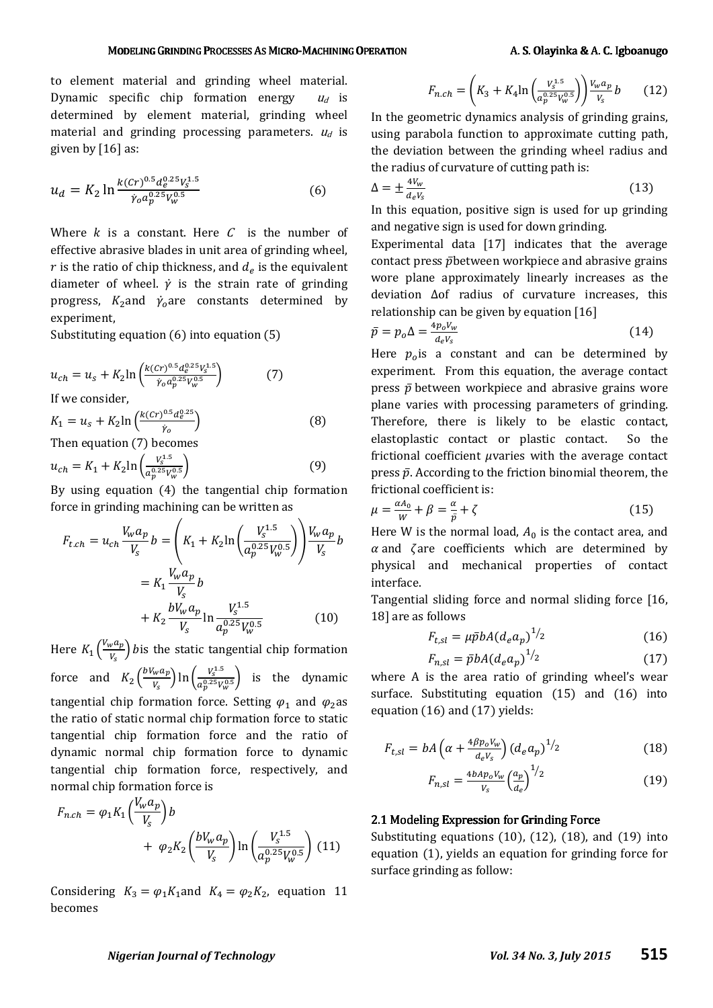#### MODELING GRINDING PROCESSES AS MICRO-MACHINING OPERATION A. S. Olayinka & A. C. Igboanugo

to element material and grinding wheel material. Dynamic specific chip formation energy  $u_d$  is determined by element material, grinding wheel material and grinding processing parameters.  $u_d$  is given by [16] as:

$$
u_d = K_2 \ln \frac{k (c r)^{0.5} d_e^{0.25} V_s^{1.5}}{\dot{\gamma}_o a_p^{0.25} V_w^{0.5}} \tag{6}
$$

Where  $k$  is a constant. Here  $C$  is the number of effective abrasive blades in unit area of grinding wheel,  $r$  is the ratio of chip thickness, and  $d_e$  is the equivalent diameter of wheel.  $\dot{y}$  is the strain rate of grinding progress,  $K_2$ and  $\dot{\gamma}_o$ are constants determined by experiment,

Substituting equation (6) into equation (5)

$$
u_{ch} = u_s + K_2 \ln \left( \frac{k (cr)^{0.5} d_e^{0.25} V_s^{1.5}}{\dot{\gamma}_o a_p^{0.25} V_w^{0.5}} \right) \tag{7}
$$

If we consider,

$$
K_1 = u_s + K_2 \ln \left( \frac{k (cr)^{0.5} d_e^{0.25}}{\dot{\gamma}_o} \right)
$$
(8)

Then equation (7) becomes

$$
u_{ch} = K_1 + K_2 \ln \left( \frac{V_s^{1.5}}{a_p^{0.25} V_w^{0.5}} \right) \tag{9}
$$

By using equation (4) the tangential chip formation force in grinding machining can be written as

$$
F_{t.ch} = u_{ch} \frac{V_w a_p}{V_s} b = \left( K_1 + K_2 \ln \left( \frac{V_s^{1.5}}{a_p^{0.25} V_w^{0.5}} \right) \right) \frac{V_w a_p}{V_s} b
$$

$$
= K_1 \frac{V_w a_p}{V_s} b
$$

$$
+ K_2 \frac{b V_w a_p}{V_s} \ln \frac{V_s^{1.5}}{a_p^{0.25} V_w^{0.5}}
$$
(10)

Here  $K_1\left(\frac{V_w a_p}{V_s}\right)$  $\frac{v - \mu}{v_s}$ ) bis the static tangential chip formation force and  $K_2 \left( \frac{bV_w a_p}{V_s} \right)$  $\frac{V_w a_p}{V_s}$ ) ln  $\left(\frac{V_s^{1.5}}{a_p^{0.25} V_1}\right)$  $\left(\frac{a_0^{0.25}V_w^{0.5}}{a_p^{0.25}V_w^{0.5}}\right)$  is the dynamic tangential chip formation force. Setting  $\varphi_1$  and  $\varphi_2$ as the ratio of static normal chip formation force to static tangential chip formation force and the ratio of dynamic normal chip formation force to dynamic tangential chip formation force, respectively, and normal chip formation force is

$$
F_{n.ch} = \varphi_1 K_1 \left(\frac{V_w a_p}{V_s}\right) b + \varphi_2 K_2 \left(\frac{bV_w a_p}{V_s}\right) \ln \left(\frac{V_s^{1.5}}{a_p^{0.25} V_w^{0.5}}\right)
$$
(11)

Considering  $K_3 = \varphi_1 K_1$  and  $K_4 = \varphi_2 K_2$ , equation 11 becomes

$$
F_{n,ch} = \left(K_3 + K_4 \ln \left(\frac{V_3^{1.5}}{a_p^{0.25} V_w^{0.5}}\right)\right) \frac{V_w a_p}{V_s} b \tag{12}
$$

In the geometric dynamics analysis of grinding grains, using parabola function to approximate cutting path, the deviation between the grinding wheel radius and the radius of curvature of cutting path is:

$$
\Delta = \pm \frac{4V_w}{d_e V_s} \tag{13}
$$

In this equation, positive sign is used for up grinding and negative sign is used for down grinding.

Experimental data [17] indicates that the average contact press  $\bar{p}$ between workpiece and abrasive grains wore plane approximately linearly increases as the deviation Δof radius of curvature increases, this relationship can be given by equation [16]

$$
\bar{p} = p_o \Delta = \frac{4p_o V_w}{d_e V_s} \tag{14}
$$

Here  $p_o$ is a constant and can be determined by experiment. From this equation, the average contact press  $\bar{p}$  between workpiece and abrasive grains wore plane varies with processing parameters of grinding. Therefore, there is likely to be elastic contact, elastoplastic contact or plastic contact. So the frictional coefficient  $\mu$ varies with the average contact press  $\bar{p}$ . According to the friction binomial theorem, the frictional coefficient is:

$$
\mu = \frac{\alpha A_0}{W} + \beta = \frac{\alpha}{\bar{p}} + \zeta \tag{15}
$$

Here W is the normal load,  $A_0$  is the contact area, and  $\alpha$  and  $\zeta$  are coefficients which are determined by physical and mechanical properties of contact interface.

Tangential sliding force and normal sliding force [16, 18] are as follows

$$
F_{t,sl} = \mu \bar{p} b A (d_e a_p)^{1/2} \tag{16}
$$

$$
F_{n,sl} = \bar{p}bA(d_e a_p)^{1/2} \tag{17}
$$

where A is the area ratio of grinding wheel's wear surface. Substituting equation (15) and (16) into equation (16) and (17) yields:

$$
F_{t,sl} = bA\left(\alpha + \frac{4\beta p_o V_w}{d_e V_s}\right) \left(d_e a_p\right)^{1/2} \tag{18}
$$

$$
F_{n,sl} = \frac{4bAp_o V_w}{V_s} \left(\frac{a_p}{d_e}\right)^{1/2} \tag{19}
$$

#### 2.1 Modeling Expression for Grinding Force

Substituting equations  $(10)$ ,  $(12)$ ,  $(18)$ , and  $(19)$  into equation (1), yields an equation for grinding force for surface grinding as follow: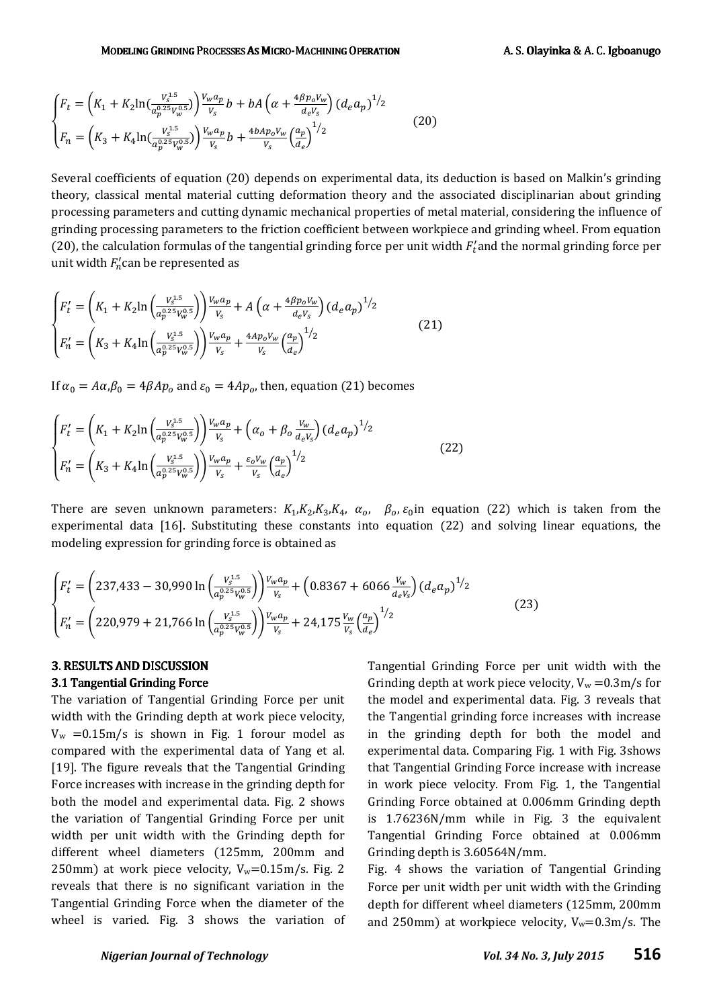$$
\begin{cases}\nF_t = \left( K_1 + K_2 \ln \left( \frac{V_s^{1.5}}{a_p^{0.25} V_w^{0.5}} \right) \right) \frac{V_w a_p}{V_s} b + bA \left( \alpha + \frac{4 \beta p_o V_w}{d_e V_s} \right) \left( d_e a_p \right)^{1/2} \\
F_n = \left( K_3 + K_4 \ln \left( \frac{V_s^{1.5}}{a_p^{0.25} V_w^{0.5}} \right) \right) \frac{V_w a_p}{V_s} b + \frac{4 b A p_o V_w}{V_s} \left( \frac{a_p}{d_e} \right)^{1/2}\n\end{cases}
$$
\n(20)

Several coefficients of equation (20) depends on experimental data, its deduction is based on Malkin's grinding theory, classical mental material cutting deformation theory and the associated disciplinarian about grinding processing parameters and cutting dynamic mechanical properties of metal material, considering the influence of grinding processing parameters to the friction coefficient between workpiece and grinding wheel. From equation (20), the calculation formulas of the tangential grinding force per unit width  $F_t'$  and the normal grinding force per unit width  $F'_n$ can be represented as

$$
\begin{cases}\nF'_t = \left(K_1 + K_2 \ln\left(\frac{V_3^{1.5}}{a_p^{0.25}V_w^{0.5}}\right)\right) \frac{V_w a_p}{V_s} + A\left(\alpha + \frac{4\beta p_o V_w}{d_e V_s}\right) \left(d_e a_p\right)^{1/2} \\
F'_n = \left(K_3 + K_4 \ln\left(\frac{V_3^{1.5}}{a_p^{0.25}V_w^{0.5}}\right)\right) \frac{V_w a_p}{V_s} + \frac{4A p_o V_w}{V_s} \left(\frac{a_p}{d_e}\right)^{1/2}\n\end{cases}
$$
\n(21)

If  $\alpha_0 = A\alpha_i\beta_0 = 4\beta A p_o$  and  $\varepsilon_0 = 4Ap_o$ , then, equation (21) becomes

$$
\begin{cases}\nF'_t = \left(K_1 + K_2 \ln\left(\frac{V_5^{1.5}}{a_p^{0.25}V_w^{0.5}}\right)\right) \frac{V_w a_p}{V_s} + \left(\alpha_o + \beta_o \frac{V_w}{d_e V_s}\right) \left(d_e a_p\right)^{1/2} \\
F'_n = \left(K_3 + K_4 \ln\left(\frac{V_5^{1.5}}{a_p^{0.25}V_w^{0.5}}\right)\right) \frac{V_w a_p}{V_s} + \frac{\varepsilon_o V_w}{V_s} \left(\frac{a_p}{d_e}\right)^{1/2}\n\end{cases}
$$
\n(22)

There are seven unknown parameters:  $K_1, K_2, K_3, K_4, \alpha_o, \beta_o, \varepsilon_0$ in equation (22) which is taken from the experimental data [16]. Substituting these constants into equation (22) and solving linear equations, the modeling expression for grinding force is obtained as

$$
\begin{cases}\nF'_t = \left(237,433 - 30,990 \ln \left(\frac{V_s^{1.5}}{a_p^{0.25}V_w^{0.5}}\right)\right) \frac{V_w a_p}{V_s} + \left(0.8367 + 6066 \frac{V_w}{d_e V_s}\right) \left(d_e a_p\right)^{1/2} \\
F'_n = \left(220,979 + 21,766 \ln \left(\frac{V_s^{1.5}}{a_p^{0.25}V_w^{0.5}}\right)\right) \frac{V_w a_p}{V_s} + 24,175 \frac{V_w}{V_s} \left(\frac{a_p}{d_e}\right)^{1/2}\n\end{cases}
$$
\n(23)

# 3. RESULTS AND DISCUSSION

#### 3.1 Tangential Grinding Force

The variation of Tangential Grinding Force per unit width with the Grinding depth at work piece velocity,  $V_w$  =0.15m/s is shown in Fig. 1 forour model as compared with the experimental data of Yang et al. [19]. The figure reveals that the Tangential Grinding Force increases with increase in the grinding depth for both the model and experimental data. Fig. 2 shows the variation of Tangential Grinding Force per unit width per unit width with the Grinding depth for different wheel diameters (125mm, 200mm and 250mm) at work piece velocity,  $V_w=0.15$ m/s. Fig. 2 reveals that there is no significant variation in the Tangential Grinding Force when the diameter of the wheel is varied. Fig. 3 shows the variation of Tangential Grinding Force per unit width with the Grinding depth at work piece velocity,  $V_w = 0.3$ m/s for the model and experimental data. Fig. 3 reveals that the Tangential grinding force increases with increase in the grinding depth for both the model and experimental data. Comparing Fig. 1 with Fig. 3shows that Tangential Grinding Force increase with increase in work piece velocity. From Fig. 1, the Tangential Grinding Force obtained at 0.006mm Grinding depth is 1.76236N/mm while in Fig. 3 the equivalent Tangential Grinding Force obtained at 0.006mm Grinding depth is 3.60564N/mm.

Fig. 4 shows the variation of Tangential Grinding Force per unit width per unit width with the Grinding depth for different wheel diameters (125mm, 200mm and 250mm) at workpiece velocity,  $V_w=0.3$ m/s. The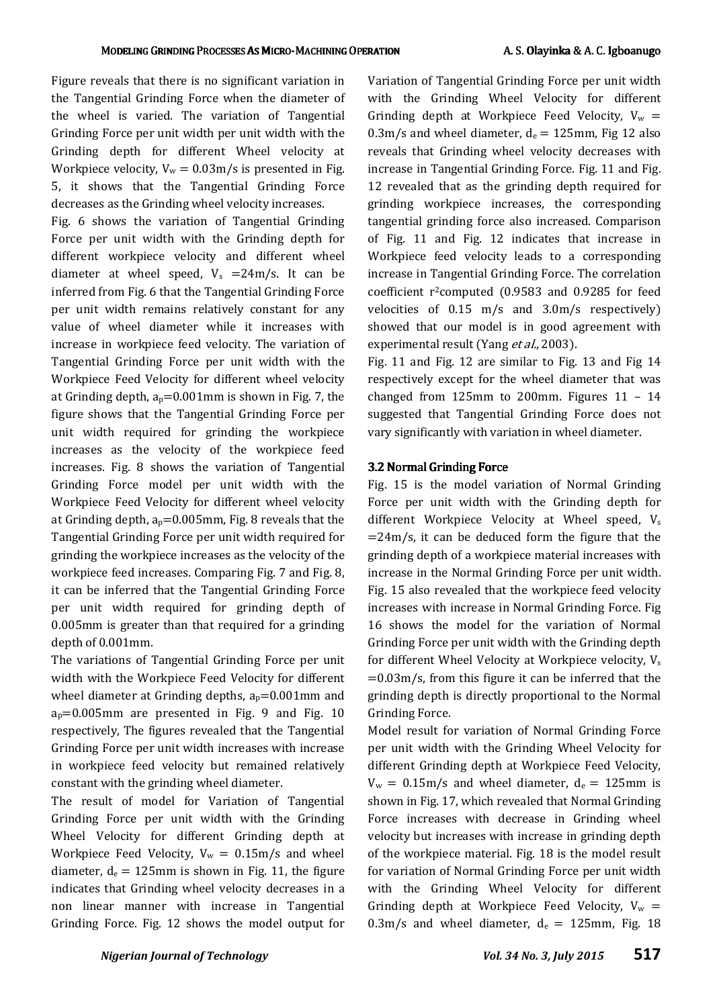Figure reveals that there is no significant variation in the Tangential Grinding Force when the diameter of the wheel is varied. The variation of Tangential Grinding Force per unit width per unit width with the Grinding depth for different Wheel velocity at Workpiece velocity,  $V_w = 0.03 \text{m/s}$  is presented in Fig. 5, it shows that the Tangential Grinding Force decreases as the Grinding wheel velocity increases.

Fig. 6 shows the variation of Tangential Grinding Force per unit width with the Grinding depth for different workpiece velocity and different wheel diameter at wheel speed,  $V_s = 24 \text{m/s}$ . It can be inferred from Fig. 6 that the Tangential Grinding Force per unit width remains relatively constant for any value of wheel diameter while it increases with increase in workpiece feed velocity. The variation of Tangential Grinding Force per unit width with the Workpiece Feed Velocity for different wheel velocity at Grinding depth,  $a_p=0.001$ mm is shown in Fig. 7, the figure shows that the Tangential Grinding Force per unit width required for grinding the workpiece increases as the velocity of the workpiece feed increases. Fig. 8 shows the variation of Tangential Grinding Force model per unit width with the Workpiece Feed Velocity for different wheel velocity at Grinding depth,  $a_p=0.005$ mm, Fig. 8 reveals that the Tangential Grinding Force per unit width required for grinding the workpiece increases as the velocity of the workpiece feed increases. Comparing Fig. 7 and Fig. 8, it can be inferred that the Tangential Grinding Force per unit width required for grinding depth of 0.005mm is greater than that required for a grinding depth of 0.001mm.

The variations of Tangential Grinding Force per unit width with the Workpiece Feed Velocity for different wheel diameter at Grinding depths,  $a_p=0.001$ mm and  $a_p=0.005$ mm are presented in Fig. 9 and Fig. 10 respectively, The figures revealed that the Tangential Grinding Force per unit width increases with increase in workpiece feed velocity but remained relatively constant with the grinding wheel diameter.

The result of model for Variation of Tangential Grinding Force per unit width with the Grinding Wheel Velocity for different Grinding depth at Workpiece Feed Velocity,  $V_w = 0.15 \text{m/s}$  and wheel diameter,  $d_e = 125$ mm is shown in Fig. 11, the figure indicates that Grinding wheel velocity decreases in a non linear manner with increase in Tangential Grinding Force. Fig. 12 shows the model output for Variation of Tangential Grinding Force per unit width with the Grinding Wheel Velocity for different Grinding depth at Workpiece Feed Velocity,  $V_w =$ 0.3m/s and wheel diameter,  $d_e = 125$ mm, Fig 12 also reveals that Grinding wheel velocity decreases with increase in Tangential Grinding Force. Fig. 11 and Fig. 12 revealed that as the grinding depth required for grinding workpiece increases, the corresponding tangential grinding force also increased. Comparison of Fig. 11 and Fig. 12 indicates that increase in Workpiece feed velocity leads to a corresponding increase in Tangential Grinding Force. The correlation coefficient r<sup>2</sup>computed (0.9583 and 0.9285 for feed velocities of 0.15 m/s and 3.0m/s respectively) showed that our model is in good agreement with experimental result (Yang et al., 2003).

Fig. 11 and Fig. 12 are similar to Fig. 13 and Fig 14 respectively except for the wheel diameter that was changed from 125mm to 200mm. Figures  $11 - 14$ suggested that Tangential Grinding Force does not vary significantly with variation in wheel diameter.

#### 3.2 Normal Grinding Force

Fig. 15 is the model variation of Normal Grinding Force per unit width with the Grinding depth for different Workpiece Velocity at Wheel speed,  $V_s$  $=24m/s$ , it can be deduced form the figure that the grinding depth of a workpiece material increases with increase in the Normal Grinding Force per unit width. Fig. 15 also revealed that the workpiece feed velocity increases with increase in Normal Grinding Force. Fig 16 shows the model for the variation of Normal Grinding Force per unit width with the Grinding depth for different Wheel Velocity at Workpiece velocity, Vs  $=0.03$ m/s, from this figure it can be inferred that the grinding depth is directly proportional to the Normal Grinding Force.

Model result for variation of Normal Grinding Force per unit width with the Grinding Wheel Velocity for different Grinding depth at Workpiece Feed Velocity,  $V_w = 0.15 \text{m/s}$  and wheel diameter,  $d_e = 125 \text{mm}$  is shown in Fig. 17, which revealed that Normal Grinding Force increases with decrease in Grinding wheel velocity but increases with increase in grinding depth of the workpiece material. Fig. 18 is the model result for variation of Normal Grinding Force per unit width with the Grinding Wheel Velocity for different Grinding depth at Workpiece Feed Velocity,  $V_w =$ 0.3m/s and wheel diameter,  $d_e = 125$ mm, Fig. 18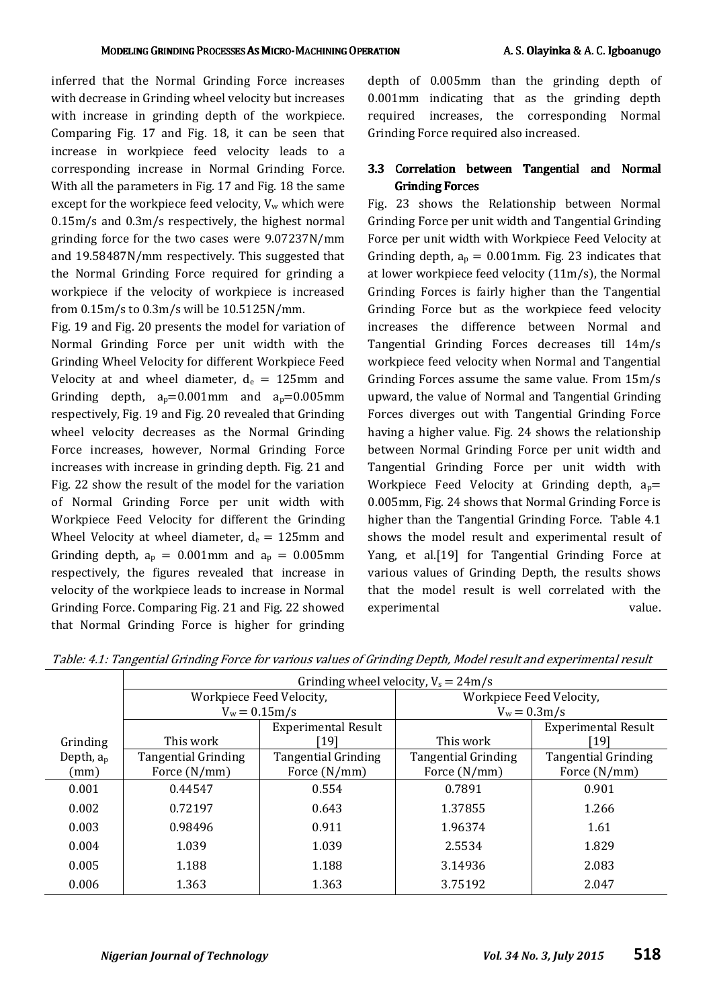inferred that the Normal Grinding Force increases with decrease in Grinding wheel velocity but increases with increase in grinding depth of the workpiece. Comparing Fig. 17 and Fig. 18, it can be seen that increase in workpiece feed velocity leads to a corresponding increase in Normal Grinding Force. With all the parameters in Fig. 17 and Fig. 18 the same except for the workpiece feed velocity,  $V_w$  which were 0.15m/s and 0.3m/s respectively, the highest normal grinding force for the two cases were 9.07237N/mm and 19.58487N/mm respectively. This suggested that the Normal Grinding Force required for grinding a workpiece if the velocity of workpiece is increased from 0.15m/s to 0.3m/s will be 10.5125N/mm.

Fig. 19 and Fig. 20 presents the model for variation of Normal Grinding Force per unit width with the Grinding Wheel Velocity for different Workpiece Feed Velocity at and wheel diameter,  $d_e = 125$ mm and Grinding depth,  $a_p=0.001$ mm and  $a_p=0.005$ mm respectively, Fig. 19 and Fig. 20 revealed that Grinding wheel velocity decreases as the Normal Grinding Force increases, however, Normal Grinding Force increases with increase in grinding depth. Fig. 21 and Fig. 22 show the result of the model for the variation of Normal Grinding Force per unit width with Workpiece Feed Velocity for different the Grinding Wheel Velocity at wheel diameter,  $d_e = 125$ mm and Grinding depth,  $a_p = 0.001$ mm and  $a_p = 0.005$ mm respectively, the figures revealed that increase in velocity of the workpiece leads to increase in Normal Grinding Force. Comparing Fig. 21 and Fig. 22 showed that Normal Grinding Force is higher for grinding

depth of 0.005mm than the grinding depth of 0.001mm indicating that as the grinding depth required increases, the corresponding Normal Grinding Force required also increased.

# 3.3 Correlation between Tangential and Normal **Grinding Forces**

Fig. 23 shows the Relationship between Normal Grinding Force per unit width and Tangential Grinding Force per unit width with Workpiece Feed Velocity at Grinding depth,  $a_p = 0.001$ mm. Fig. 23 indicates that at lower workpiece feed velocity (11m/s), the Normal Grinding Forces is fairly higher than the Tangential Grinding Force but as the workpiece feed velocity increases the difference between Normal and Tangential Grinding Forces decreases till 14m/s workpiece feed velocity when Normal and Tangential Grinding Forces assume the same value. From 15m/s upward, the value of Normal and Tangential Grinding Forces diverges out with Tangential Grinding Force having a higher value. Fig. 24 shows the relationship between Normal Grinding Force per unit width and Tangential Grinding Force per unit width with Workpiece Feed Velocity at Grinding depth,  $a_p=$ 0.005mm, Fig. 24 shows that Normal Grinding Force is higher than the Tangential Grinding Force. Table 4.1 shows the model result and experimental result of Yang, et al.[19] for Tangential Grinding Force at various values of Grinding Depth, the results shows that the model result is well correlated with the experimental value.

|              | Grinding wheel velocity, $V_s = 24 \text{m/s}$ |                            |                            |                            |
|--------------|------------------------------------------------|----------------------------|----------------------------|----------------------------|
|              | Workpiece Feed Velocity,                       |                            | Workpiece Feed Velocity,   |                            |
|              | $V_w = 0.15 \text{m/s}$                        |                            | $V_w = 0.3 \text{m/s}$     |                            |
|              |                                                | <b>Experimental Result</b> |                            | <b>Experimental Result</b> |
| Grinding     | This work                                      | [19]                       | This work                  | [19]                       |
| Depth, $a_p$ | <b>Tangential Grinding</b>                     | <b>Tangential Grinding</b> | <b>Tangential Grinding</b> | <b>Tangential Grinding</b> |
| (mm)         | Force (N/mm)                                   | Force (N/mm)               | Force (N/mm)               | Force (N/mm)               |
| 0.001        | 0.44547                                        | 0.554                      | 0.7891                     | 0.901                      |
| 0.002        | 0.72197                                        | 0.643                      | 1.37855                    | 1.266                      |
| 0.003        | 0.98496                                        | 0.911                      | 1.96374                    | 1.61                       |
| 0.004        | 1.039                                          | 1.039                      | 2.5534                     | 1.829                      |
| 0.005        | 1.188                                          | 1.188                      | 3.14936                    | 2.083                      |
| 0.006        | 1.363                                          | 1.363                      | 3.75192                    | 2.047                      |

Table: 4.1: Tangential Grinding Force for various values of Grinding Depth, Model result and experimental result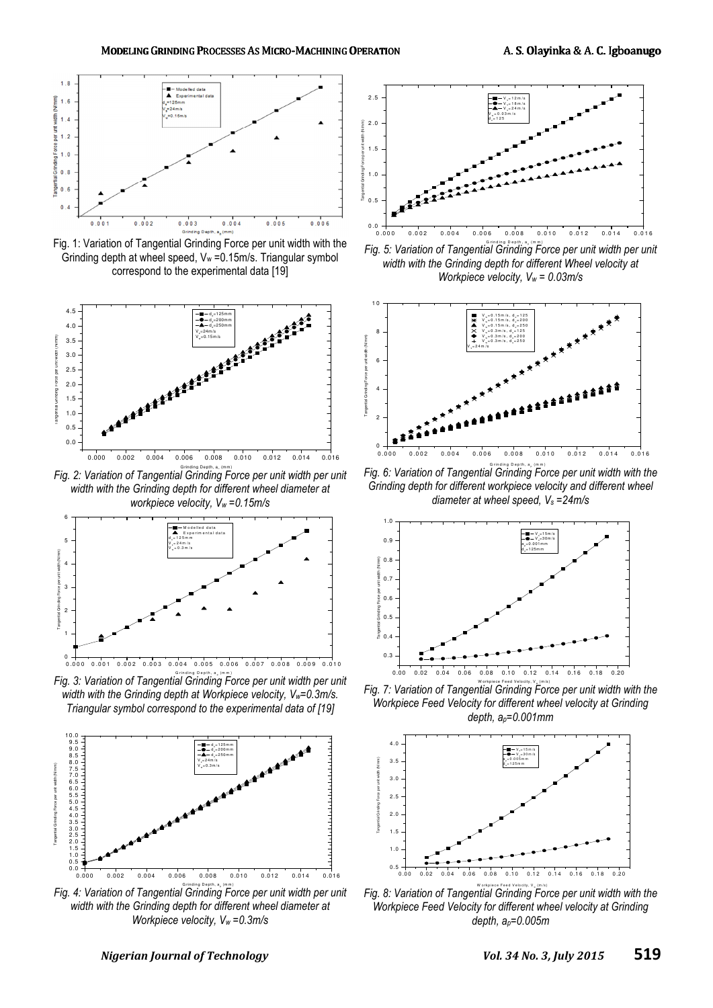

Fig. 1: Variation of Tangential Grinding Force per unit width with the Grinding depth at wheel speed,  $V_w = 0.15 \text{m/s}$ . Triangular symbol correspond to the experimental data [19]



Fig. 2: Variation of Tangential Grinding Force per unit width per unit *width with the Grinding depth for different wheel diameter at workpiece velocity, Vw =0.15m/s* 



Fig. 3: Variation of Tangential Grinding Force per unit width per unit *width with the Grinding depth at Workpiece velocity, Vw=0.3m/s. Triangular symbol correspond to the experimental data of [19]* 



Fig. 4: Variation of Tangential Grinding Force per unit width per unit *width with the Grinding depth for different wheel diameter at Workpiece velocity, Vw =0.3m/s*



Fig. 5: Variation of Tangential Grinding Force per unit width per unit *width with the Grinding depth for different Wheel velocity at Workpiece velocity, Vw = 0.03m/s* 



Fig. 6: Variation of Tangential Grinding Force per unit width with the *Grinding depth for different workpiece velocity and different wheel diameter at wheel speed, Vs =24m/s* 



Fig. 7: Variation of Tangential Grinding Force per unit width with the *Workpiece Feed Velocity for different wheel velocity at Grinding depth, ap=0.001mm* 



Fig. 8: Variation of Tangential Grinding Force per unit width with the *Workpiece Feed Velocity for different wheel velocity at Grinding depth, ap=0.005m*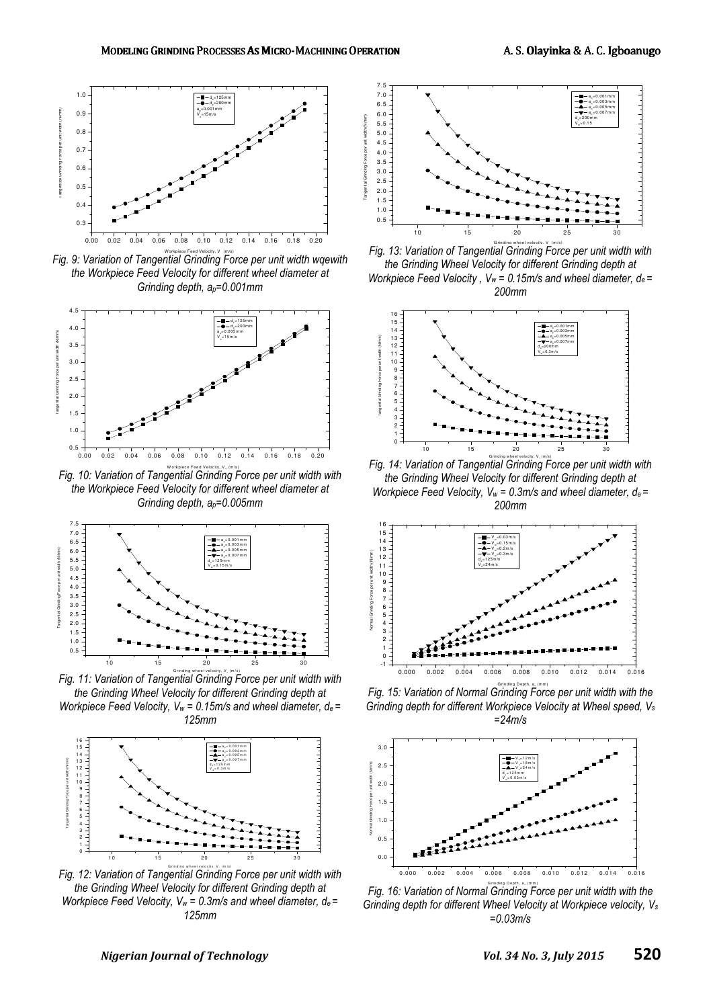Nimmi aid<sup>m</sup>



Fig. 9: Variation of Tangential Grinding Force per unit width wqewith *the Workpiece Feed Velocity for different wheel diameter at Grinding depth, ap=0.001mm* 



Fig. 10: Variation of Tangential Grinding Force per unit width with *the Workpiece Feed Velocity for different wheel diameter at Grinding depth, ap=0.005mm* 



Fig. 11: Variation of Tangential Grinding Force per unit width with *the Grinding Wheel Velocity for different Grinding depth at* 

*Workpiece Feed Velocity, V<sub><i>w*</sub></sub> = 0.15m/s and wheel diameter,  $d_e$  = *125mm* 



Fig. 12: Variation of Tangential Grinding Force per unit width with *the Grinding Wheel Velocity for different Grinding depth at Workpiece Feed Velocity, Vw = 0.3m/s and wheel diameter, de = 125mm*



Fig. 13: Variation of Tangential Grinding Force per unit width with *the Grinding Wheel Velocity for different Grinding depth at Workpiece Feed Velocity, V<sub><i>w*</sub> = 0.15m/s and wheel diameter,  $d_e$  = *200mm* 



Fig. 14: Variation of Tangential Grinding Force per unit width with *the Grinding Wheel Velocity for different Grinding depth at Workpiece Feed Velocity, Vw = 0.3m/s and wheel diameter, de = 200mm* 



Fig. 15: Variation of Normal Grinding Force per unit width with the *Grinding depth for different Workpiece Velocity at Wheel speed, V<sup>s</sup> =24m/s* 



Fig. 16: Variation of Normal Grinding Force per unit width with the *Grinding depth for different Wheel Velocity at Workpiece velocity, V<sup>s</sup> =0.03m/s*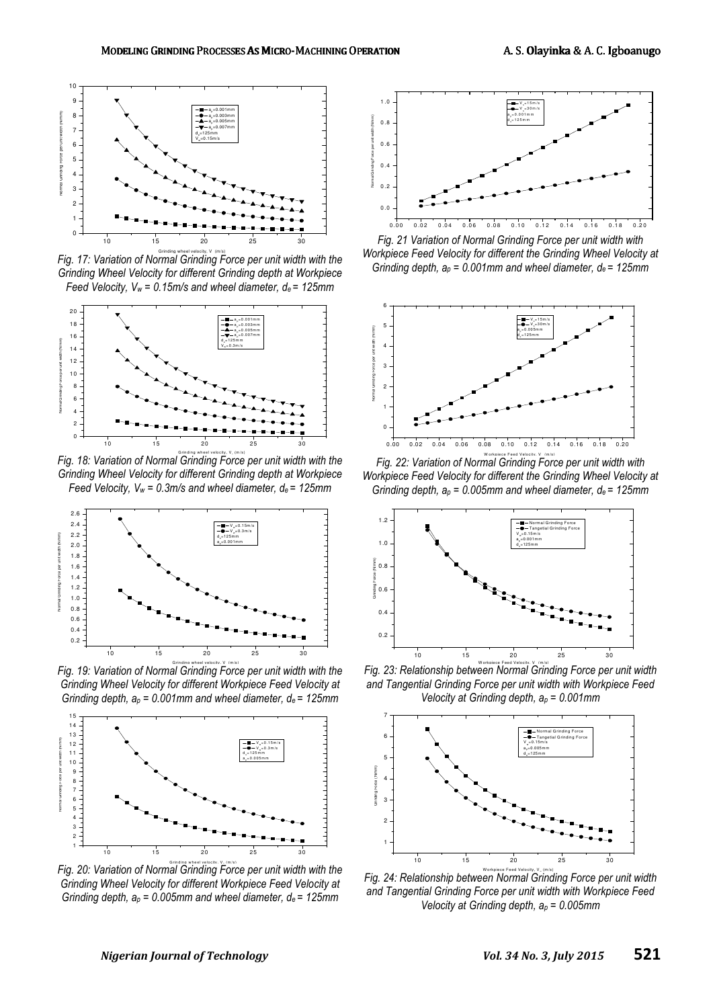

Fig. 17: Variation of Normal Grinding Force per unit width with the *Grinding Wheel Velocity for different Grinding depth at Workpiece Feed Velocity, Vw = 0.15m/s and wheel diameter, de = 125mm* 



Fig. 18: Variation of Normal Grinding Force per unit width with the *Grinding Wheel Velocity for different Grinding depth at Workpiece Feed Velocity, Vw = 0.3m/s and wheel diameter, de = 125mm* 



Fig. 19: Variation of Normal Grinding Force per unit width with the *Grinding Wheel Velocity for different Workpiece Feed Velocity at Grinding depth, ap = 0.001mm and wheel diameter, de = 125mm* 



Fig. 20: Variation of Normal Grinding Force per unit width with the *Grinding Wheel Velocity for different Workpiece Feed Velocity at Grinding depth, ap = 0.005mm and wheel diameter, de = 125mm* 



Fig. 21 Variation of Normal Grinding Force per unit width with *Workpiece Feed Velocity for different the Grinding Wheel Velocity at Grinding depth, ap = 0.001mm and wheel diameter, de = 125mm* 



Fig. 22: Variation of Normal Grinding Force per unit width with *Workpiece Feed Velocity for different the Grinding Wheel Velocity at Grinding depth, ap = 0.005mm and wheel diameter, de = 125mm* 



Fig. 23: Relationship between Normal Grinding Force per unit width *and Tangential Grinding Force per unit width with Workpiece Feed Velocity at Grinding depth, ap = 0.001mm* 



Fig. 24: Relationship between Normal Grinding Force per unit width *and Tangential Grinding Force per unit width with Workpiece Feed Velocity at Grinding depth, ap = 0.005mm*